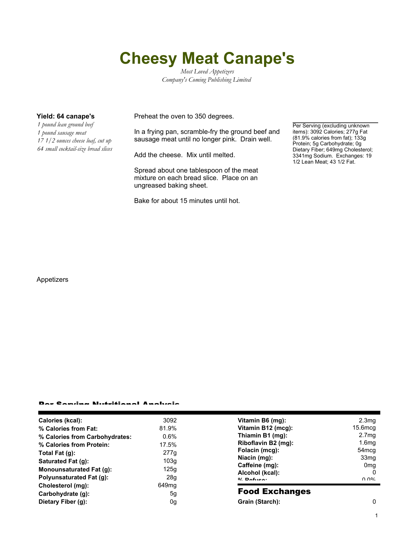## **Cheesy Meat Canape's**

*Most Loved Appetizers Company's Coming Publishing Limited*

*1 pound lean ground beef 1 pound sausage meat 17 1/2 ounces cheese loaf, cut up 64 small cocktail-size bread slices*

**Yield: 64 canape's** Preheat the oven to 350 degrees.

In a frying pan, scramble-fry the ground beef and sausage meat until no longer pink. Drain well.

Add the cheese. Mix until melted.

Spread about one tablespoon of the meat mixture on each bread slice. Place on an ungreased baking sheet.

Bake for about 15 minutes until hot.

Per Serving (excluding unknown items): 3092 Calories; 277g Fat (81.9% calories from fat); 133g Protein; 5g Carbohydrate; 0g Dietary Fiber; 649mg Cholesterol; 3341mg Sodium. Exchanges: 19 1/2 Lean Meat; 43 1/2 Fat.

Appetizers

## Per Serving Nutritional Analysis

| Calories (kcal):               | 3092              | Vitamin B6 (mg):                                                    | 2.3 <sub>mg</sub>            |
|--------------------------------|-------------------|---------------------------------------------------------------------|------------------------------|
| % Calories from Fat:           | 81.9%             | Vitamin B12 (mcg):                                                  | $15.6$ mcq                   |
| % Calories from Carbohydrates: | $0.6\%$           | Thiamin B1 (mg):                                                    | 2.7 <sub>mg</sub>            |
| % Calories from Protein:       | 17.5%             | Riboflavin B2 (mg):                                                 | 1.6 <sub>mg</sub>            |
| Total Fat $(q)$ :              | 277g              | Folacin (mcg):                                                      | 54 <sub>mcq</sub>            |
| Saturated Fat (g):             | 103q              | Niacin (mg):<br>Caffeine (mg):<br>Alcohol (kcal):<br>$0/2$ Pofileo: | 33 <sub>mg</sub>             |
| Monounsaturated Fat (g):       | 125q              |                                                                     | 0 <sub>mq</sub><br>0<br>በ በ% |
| Polyunsaturated Fat (q):       | 28g               |                                                                     |                              |
| Cholesterol (mg):              | 649 <sub>mq</sub> |                                                                     |                              |
| Carbohydrate (g):              | 5 <sub>q</sub>    | <b>Food Exchanges</b>                                               |                              |
| Dietary Fiber (g):             | 0g                | Grain (Starch):                                                     | 0                            |